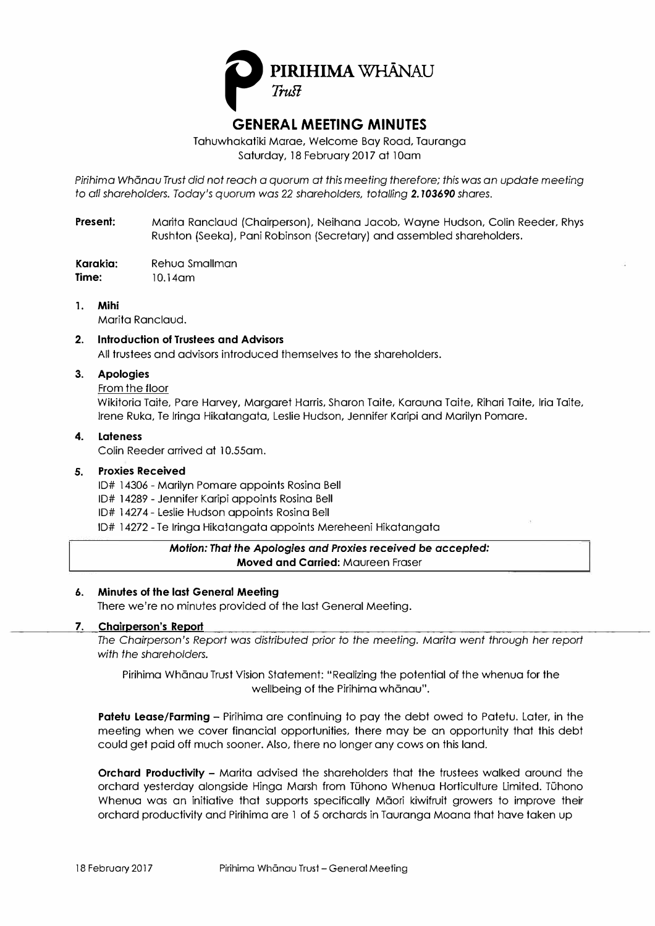

Tahuwhakatiki Marae, Welcome Bay Road, Tauranga Saturday, 18 February 2017 at 10am

*Pirihima Whonau Trust did not* reach a quorum at *this* meeting *therefore; this was an* update *meeting to all shareholders. Today's quorum was* 22 *shareholders, totalling 2.103690 shares.* 

**Present:** Marita Ranclaud {Chairperson), Neihana Jacob, Wayne Hudson, Colin Reeder, Rhys Rushton {Seeka), Pani Robinson {Secretary) and assembled shareholders.

**Karakia:** Rehua Smallman **Time:** 10.14am

**1. Mihi**

Marita Ranclaud.

**2. Introduction of Trustees and Advisors** All trustees and advisors introduced themselves to the shareholders.

# **3. Apologies**

From the tloor

Wikitoria Taite, Pare Harvey, Margaret Harris, Sharon Taite, Karauna Taite, Rihari Taite, lria Taite, Irene Ruka, Te lringa Hikatangata, Leslie Hudson, Jennifer Karipi and Marilyn Pomare.

### **4. Lateness**

Colin Reeder arrived at 10.55am.

# *5.* **Proxies Received**

- ID# 14306 Marilyn Pomare appoints Rosina Bell
- ID# 14289 Jennifer Karipi appoints Rosina Bell
- ID# 1427 4 Leslie Hudson appoints Rosina Bell
- ID# 14272 Te lringa Hikatangata appoints Mereheeni Hikatangata

# *Motion: That the Apologies and Proxies received be accepted:*  **Moved and Carried:** Maureen Fraser

#### **6. Minutes of the last General Meeting**

There we're no minutes provided of the last General Meeting.

#### **7. Chairperson's Report**

*The Chairperson's Report was distributed prior to the meeting. Marita went through her report with the shareholders.*

Pirihima Whānau Trust Vision Statement: "Realizing the potential of the whenua for the wellbeing of the Pirihima whānau".

**Patetu Lease/Farming** - Pirihima are continuing to pay the debt owed to Patetu. Later, in the meeting when we cover financial opportunities, there may be an opportunity that this debt could get paid off much sooner. Also, there no longer any cows on this land.

**Orchard Productivity - Marita advised the shareholders that the trustees walked around the** orchard yesterday alongside Hinga Marsh from Tühono Whenua Horticulture Limited. Tühono Whenua was an initiative that supports specifically Maori kiwifruit growers to improve their orchard productivity and Pirihima are l of 5 orchards in Tauranga Moana that have taken up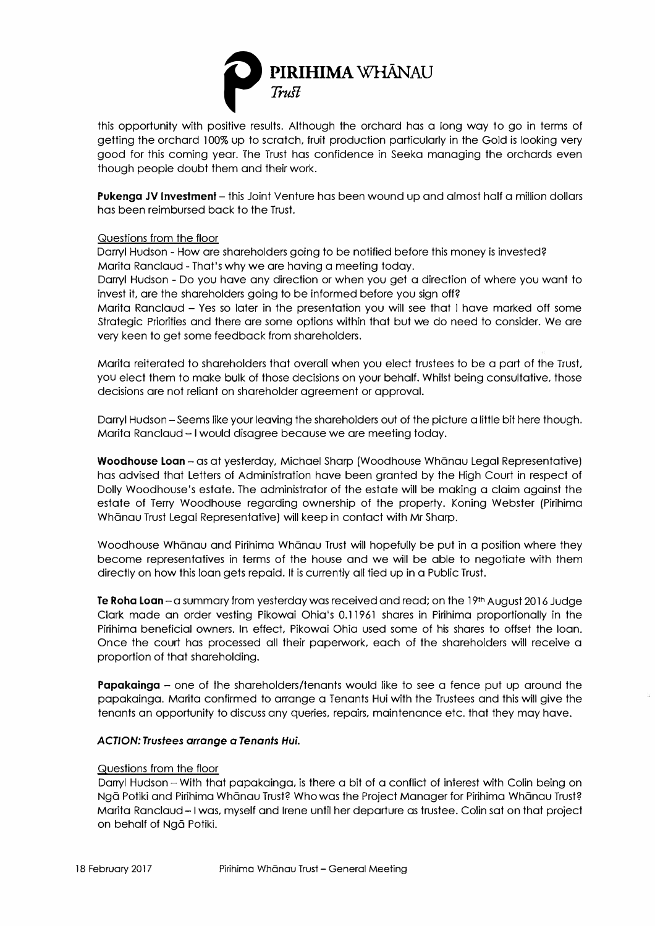

getting the orchard 100% up to scratch, fruit production particularly in the Gold is looking very good for this coming year. The Trust has confidence in Seeka managing the orchards even though people doubt them and their work.

**Pukenga JV Investment** – this Joint Venture has been wound up and almost half a million dollars has been reimbursed back to the Trust.

# Questions from the floor

Darryl Hudson - How are shareholders going to be notified before this money is invested? Marita Ranclaud - That's why we are having a meeting today.

Darryl Hudson - Do you have any direction or when you get a direction of where you want to invest it, are the shareholders going to be informed before you sign off?

Marita Ranclaud - Yes so later in the presentation you will see that I have marked off some Strategic Priorities and there are some options within that but we do need to consider. We are very keen to get some feedback from shareholders.

Marita reiterated to shareholders that overall when you elect trustees to be a part of the Trust, you elect them to make bulk of those decisions on your behalf. Whilst being consultative, those decisions are not reliant on shareholder agreement or approval.

Darryl Hudson - Seems like your leaving the shareholders out of the picture a little bit here though. Marita Ranclaud - I would disagree because we are meeting today.

Woodhouse Loan - as at yesterday, Michael Sharp (Woodhouse Whanau Legal Representative) has advised that Letters of Administration have been granted by the High Court in respect of Dolly Woodhouse's estate. The administrator of the estate will be making a claim against the estate of Terry Woodhouse regarding ownership of the properly. Koning Webster (Pirihima Whanau Trust Legal Representative) will keep in contact with Mr Sharp.

Woodhouse Whanau and Pirihima Whanau Trust will hopefully be put in a position where they become representatives in terms of the house and we will be able to negotiate with them directly on how this loan gets repaid. II is currently all tied up in a Public Trust.

**Te Rohe Loan-a** summary from yesterday was received and read; on the 19**th** August 2016 Judge Clark made an order vesting Pikowai Ohio's 0.1196 l shares in Pirihima proportionally in the Pirihima beneficial owners. In effect, Pikowai Ohio used some of his shares to offset the loan. Once the court has processed all their paperwork, each of the shareholders will receive a proportion of that shareholding.

**Papakainga** – one of the shareholders/tenants would like to see a fence put up around the papakainga. Marita confirmed to arrange a Tenants Hui with the Trustees and this will give the tenants an opportunity to discuss any queries, repairs, maintenance etc. that they may have.

#### *ACTION: Trustees* **arrange** *a* **Tenants** *Hui.*

#### Questions from the floor

Darryl Hudson - With that papakainga, is there a bit of a conflict of interest with Colin being on Ngā Potiki and Pirihima Whānau Trust? Who was the Project Manager for Pirihima Whānau Trust? Marita Ranclaud-I was, myself and Irene until her departure as trustee. Colin sat on that project on behalf of Ngā Potiki.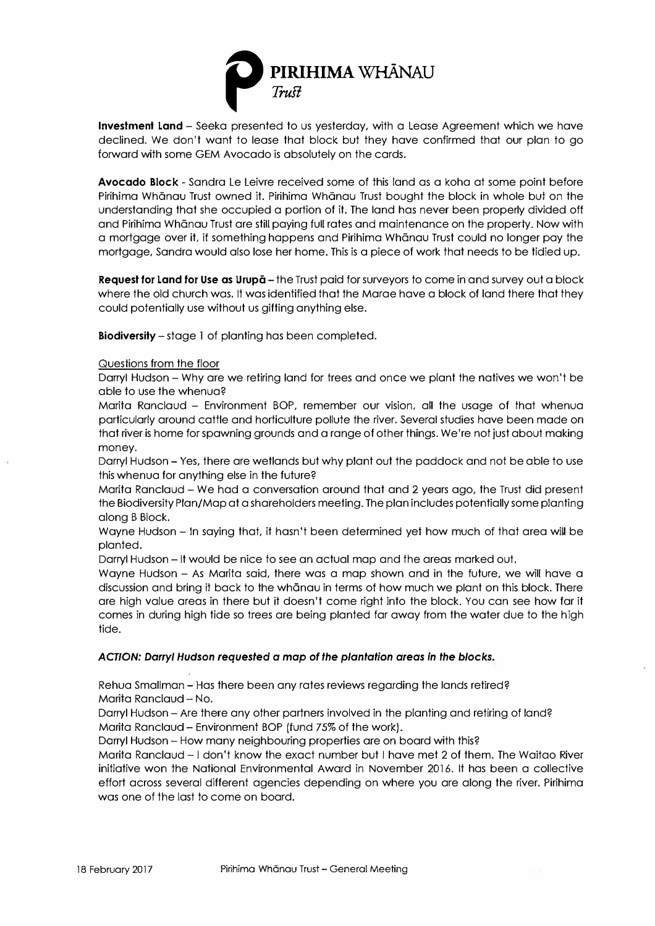

declined. We don't want to lease that block but they have confirmed that our plan to go forward with some GEM Avocado is absolutely on the cards.

**Avocado Block** - Sandra Le Leivre received some of this land as a koha at some point before Pirihima Whanau Trust owned it. Pirihima Whanau Trust bought the block in whole but on the understanding that she occupied a portion of it. The land has never been properly divided off and Pirihima Whanau Trust are still paying full rates and maintenance on the property. Now with a mortgage over it, if something happens and Pirihima Whanau Trust could no longer pay the mortgage, Sandra would also lose her home. This is a piece of work that needs to be tidied up.

**Request for Land for Use as Urupa** - the Trust paid for surveyors to come in and survey out a block where the old church was. It was identified that the Marae have a block of land there that they could potentially use without us gifting anything else.

**Biodiversity** - stage l of planting has been completed.

# Questions from the floor

Darryl Hudson - Why are we retiring land for trees and once we plant the natives we won't be able to use the whenua?

Marita Ranclaud - Environment BOP, remember our vision, all the usage of that whenua particularly around cattle and horticulture pollute the river. Several studies have been made on that river is home for spawning grounds and a range of other things. We're not just about making money.

Darryl Hudson – Yes, there are wetlands but why plant out the paddock and not be able to use this whenua for anything else in the future?

Marita Ranclaud - We had a conversation around that and 2 years ago, the Trust did present the Biodiversity Plan/Map at a shareholders meeting. The plan includes potentially some planting along B Block.

Wayne Hudson - In saying that, it hasn't been determined yet how much of that area will be planted.

Darryl Hudson - It would be nice to see an actual map and the areas marked out.

Wayne Hudson – As Marita said, there was a map shown and in the future, we will have a discussion and bring it back to the whanau in terms of how much we plant on this block. There are high value areas in there but it doesn't come right into the block. You can see how far it comes in during high tide so trees are being planted far away from the water due to the high tide.

# *ACTION: Darryl* **Hudson requested a map** *of the plantation* **areas** *in the blocks.*

Rehua Smallman - Has there been any rates reviews regarding the lands retired? Marita Ranclaud - No.

Darryl Hudson - Are there any other partners involved in the planting and retiring of land? Marita Ranclaud - Environment BOP (fund 75% of the work).

Darryl Hudson - How many neighbouring properties are on board with this?

Marita Ranclaud - I don't know the exact number but I have met 2 of them. The Waitao River initiative won the National Environmental Award in November 2016. It has been a collective effort across several different agencies depending on where you are along the river. Pirihima was one of the last to come on board.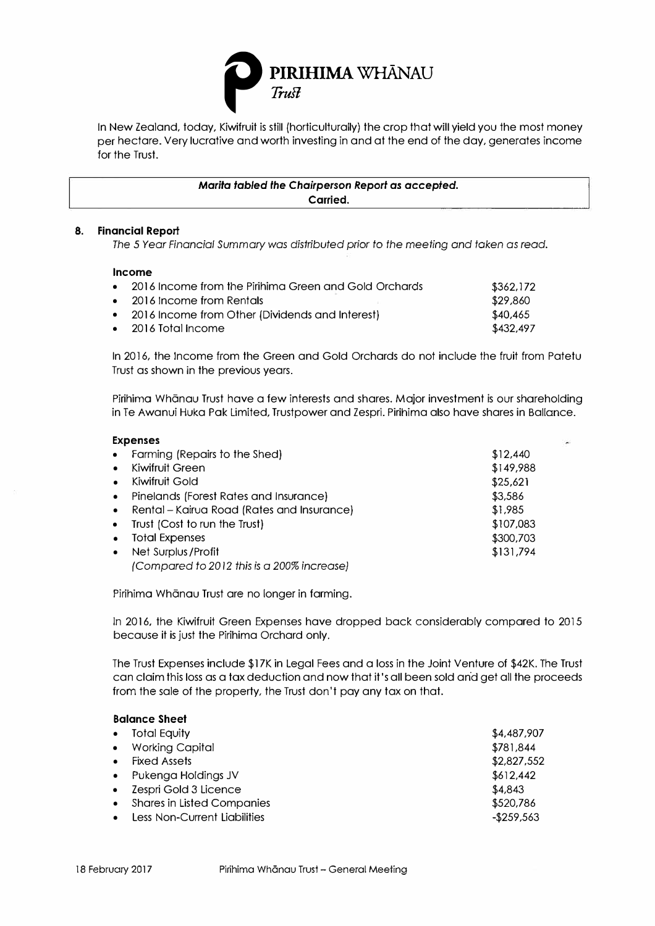

per hectare. Very lucrative and worth investing in and at the end of the day, generates income for the Trust.

> *Marita tabled the Chairperson Report as accepted.*  **Carried.**

### **8. Financial Report**

*The 5 Year Financial Summary* was *distributed prior to the meeting and token as read.* 

#### **Income**

**Expenses** 

| • 2016 Income from the Pirihima Green and Gold Orchards | \$362,172 |
|---------------------------------------------------------|-----------|
| • 2016 Income from Rentals                              | \$29,860  |
| • 2016 Income from Other (Dividends and Interest)       | \$40,465  |
| • 2016 Total Income                                     | \$432,497 |

In 2016, the Income from the Green and Gold Orchards do not include the fruit from Patetu Trust as shown in the previous years.

Pirihima Whānau Trust have a few interests and shares. Major investment is our shareholding in Te Awanui Huka Pok Limited, Trustpower and Zespri. Pirihima also have shares in Ballance.

|           | EXPERSES                                   |           |  |
|-----------|--------------------------------------------|-----------|--|
| $\bullet$ | Farming (Repairs to the Shed)              | \$12,440  |  |
| $\bullet$ | Kiwifruit Green                            | \$149,988 |  |
| $\bullet$ | Kiwifruit Gold                             | \$25,621  |  |
| $\bullet$ | Pinelands (Forest Rates and Insurance)     | \$3,586   |  |
| $\bullet$ | Rental – Kairua Road (Rates and Insurance) | \$1,985   |  |
| $\bullet$ | Trust (Cost to run the Trust)              | \$107,083 |  |
| $\bullet$ | <b>Total Expenses</b>                      | \$300,703 |  |
| $\bullet$ | Net Surplus / Profit                       | \$131,794 |  |
|           | (Compared to 2012 this is a 200% increase) |           |  |

Pirihima Whānau Trust are no longer in farming.

In 2016, the Kiwifruit Green Expenses have dropped back considerably compared to 2015 because it is just the Pirihima Orchard only.

The Trust Expenses include \$17K in Legal Fees and a loss in the Joint Venture of \$42K. The Trust can claim this loss as a tax deduction and now that it's all been sold and get all the proceeds from the sale of the property, the Trust don't pay any tax on that.

| <b>Balance Sheet</b> |                                   |             |
|----------------------|-----------------------------------|-------------|
| $\bullet$            | <b>Total Equity</b>               | \$4,487,907 |
| $\bullet$            | <b>Working Capital</b>            | \$781,844   |
|                      | <b>Fixed Assets</b>               | \$2,827,552 |
| $\bullet$            | Pukenga Holdings JV               | \$612,442   |
| $\bullet$            | Zespri Gold 3 Licence             | \$4,843     |
| $\bullet$            | <b>Shares in Listed Companies</b> | \$520,786   |
|                      | Less Non-Current Liabilities      | $-$259,563$ |
|                      |                                   |             |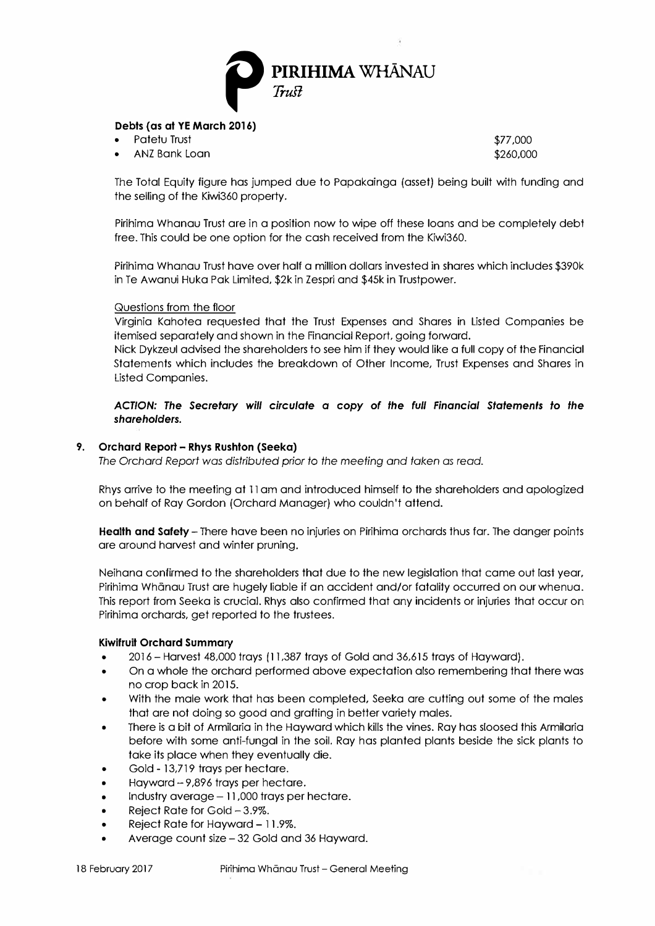

# **Debts (as at YE March 2016)**

- Patetu Trust
- ANZ Bank Loan

\$77,000 \$260,000

The Total Equity figure has jumped due to Papakainga (asset) being built with funding and the selling of the Kiwi360 property.

Pirihima Whanau Trust are in a position now to wipe off these loans and be completely debt free. This could be one option for the cash received from the Kiwi360.

Pirihima Whanau Trust have over half a million dollars invested in shares which includes \$390k in Te Awanui Huka Pak Limited. \$2k in Zespri and \$45k in Trustpower.

#### Questions from the floor

Virginia Kahotea requested that the Trust Expenses and Shares in Listed Companies be itemised separately and shown in the Financial Report, going forward.

Nick Dykzeul advised the shareholders to see him if they would like a full copy of the Financial Statements which includes the breakdown of Other Income, Trust Expenses and Shares in Listed Companies.

*ACTION: The Secretary will circulate* **a** *copy of the full Financial Statements to the shareholders.* 

### **9. Orchard Report - Rhys Rushton (Seeka)**

*The* Orchard *Report was distributed prior to the meeting* and *taken as* read.

Rhys arrive to the meeting at 11 am and introduced himself to the shareholders and apologized on behalf of Ray Gordon (Orchard Manager) who couldn't attend.

**Health and Safety-** There have been no injuries on Pirihima orchards thus far. The danger points are around harvest and winter pruning.

Neihana confirmed to the shareholders that due to the new legislation that came out last year, Pirihima Whānau Trust are hugely liable if an accident and/or fatality occurred on our whenua. This report from Seeka is crucial. Rhys also confirmed that any incidents or injuries that occur on Pirihima orchards, get reported to the trustees.

#### **Kiwifruit Orchard** *Summary*

- 2016 -Harvest 48,000 trays (11,387 trays of Gold and 36,615 trays of Hayward).
- On a whole the orchard performed above expectation also remembering that there was no crop back in 2015.
- With the male work that has been completed, Seeka are cutting out some of the males that are not doing so good and grafting in better variety males.
- There is a bit of Armilaria in the Hayward which kills the vines. Ray has sloosed this Armilaria before with some anti-fungal in the soil. Ray has planted plants beside the sick plants to take its place when they eventually die.
- Gold 13,719 trays per hectare.
- Hayward  $-9,896$  trays per hectare.
- Industry average  $-11,000$  trays per hectare.
- Reject Rate for Gold  $-3.9\%$ .
- Reject Rate for Hayward 11.9%.
- Average count size-32 Gold and 36 Hayward.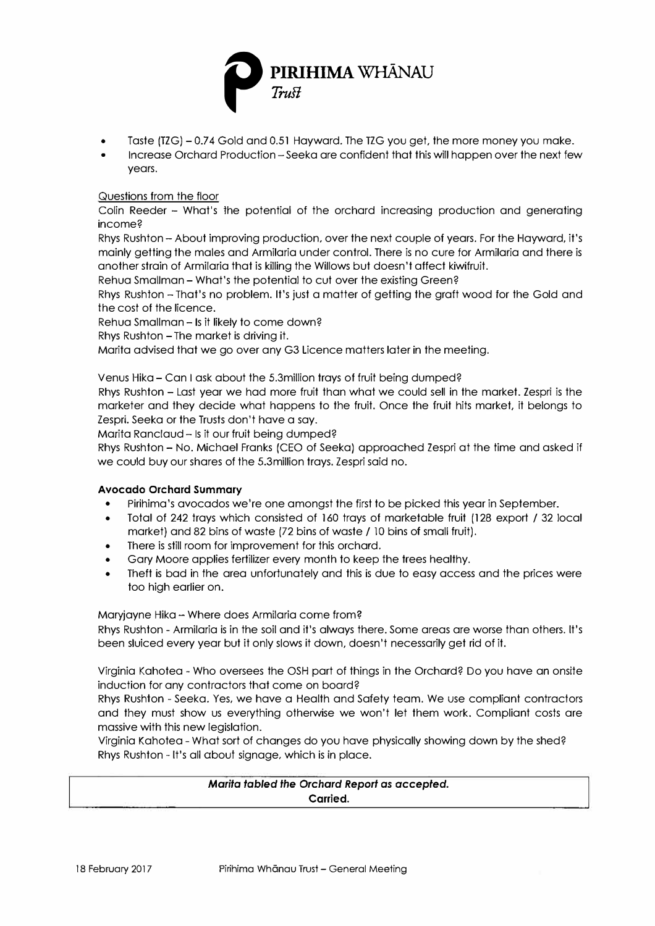

- Taste (TZG) 0.74 Gold and 0.51 Hayward. The TZG you get, the more money you make.
- Increase Orchard Production Seeka are confident that this will happen over the next few years.

# Questions from the floor

Colin Reeder - What's the potential of the orchard increasing production and generating income?

Rhys Rushton -About improving production, over the next couple of years. For the Hayward, it's mainly getting the males and Armilaria under control. There is no cure for Armilaria and there is another strain of Armilaria that is killing the Willows but doesn't affect kiwifruit.

Rehua Smallman -What's the potential to cut over the existing Green?

Rhys Rushton - That's no problem. It's just a matter of getting the graft wood for the Gold and the cost of the licence.

Rehua Smallman - Is it likely to come down?

Rhys Rushton - The market is driving it.

Marita advised that we go over any G3 Licence matters later in the meeting.

Venus Hika -Can I ask about the 5.3million trays of fruit being dumped?

Rhys Rushton - Last year we had more fruit than what we could sell in the market. Zespri is the marketer and they decide what happens to the fruit. Once the fruit hits market, it belongs to Zespri. Seeka or the Trusts don't have a say.

Marita Ranclaud - Is it our fruit being dumped?

Rhys Rushton - No. Michael Franks (CEO of Seeka) approached Zespri at the time and asked if we could buy our shares of the 5.3million trays. Zespri said no.

# **Avocado Orchard Summary**

- Pirihima's avocados we're one amongst the first to be picked this year in September.
- Total of 242 trays which consisted of 160 trays of marketable fruit ( 128 export / 32 local market) and 82 bins of waste (72 bins of waste/ 10 bins of small fruit).
- There is still room for improvement for this orchard.
- Gary Moore applies fertilizer every month to keep the trees healthy.
- Theft is bad in the area unfortunately and this is due to easy access and the prices were too high earlier on.

Maryjayne Hika - Where does Armilaria come from?

Rhys Rushton - Armilaria is in the soil and it's always there. Some areas are worse than others. It's been sluiced every year but it only slows it down, doesn't necessarily get rid of it.

Virginia Kahotea - Who oversees the OSH part of things in the Orchard? Do you have an onsite induction for any contractors that come on board?

Rhys Rushton - Seeka. Yes, we have a Health and Safety team. We use compliant contractors and they must show us everything otherwise we won't let them work. Compliant costs are massive with this new legislation.

Virginia Kahotea - What sort of changes do you have physically showing down by the shed? Rhys Rushton - It's all about signage, which is in place.

# *Marita fabled the Orchard Report as accepted.*  **Carried.**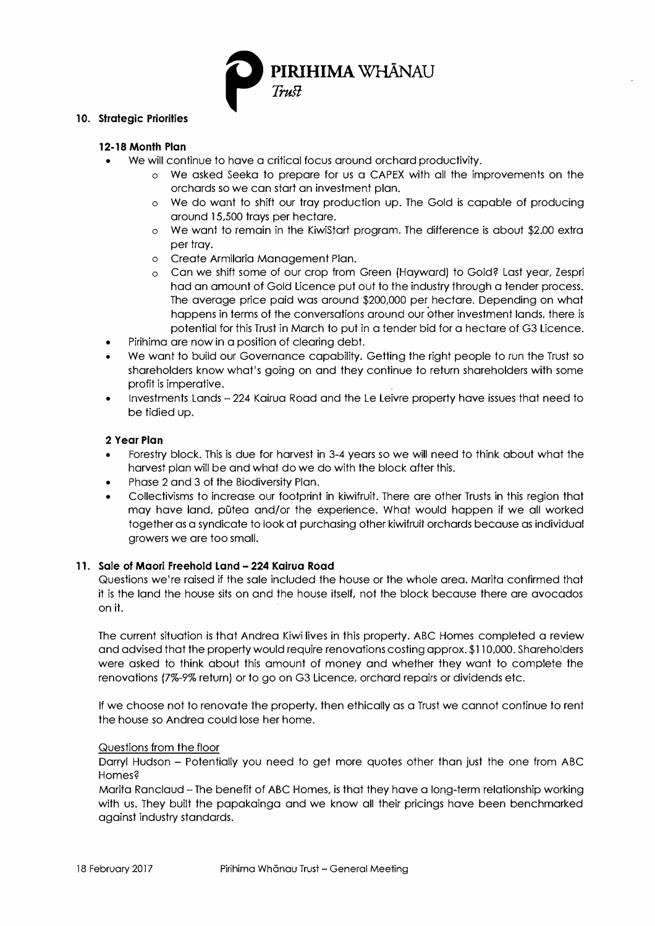

### **10. Strategic Priorities**

# **12-18 Month Plan**

- We will continue to have a critical focus around orchard productivity.
	- o We asked Seeka to prepare for us a CAPEX with all the improvements on the orchards so we can start an investment plan.
	- o We do want to shift our tray production up. The Gold is capable of producing around 15,500 trays per hectare.
	- o We want to remain in the KiwiSlart program. The difference is about \$2.00 extra per tray.
	- o Create Armilaria Management Plan.
	- o Can we shift some of our crop from Green (Hayward) to Gold? Last year, Zespri had an amount of Gold Licence put out to the industry through a tender process. The average price paid was around \$200,000 per hectare. Depending on what happens in terms of the conversations around our other investment lands, there is potential for this Trust in March to put in a tender bid for a hectare of G3 Licence.
- Pirihima are now in a position of clearing debt.
- We want to build our Governance capability. Getting the right people to run the Trust so shareholders know what's going on and they continue to return shareholders with some profit is imperative.
- Investments Lands 224 Kairua Road and the Le Leivre property have issues that need to be tidied up.

### **2 Year Plan**

- Forestry block. This is due for harvest in 3-4 years so we will need to think about what the harvest plan will be and what do we do with the block after this.
- Phase 2 and 3 of the Biodiversity Plan.
- Collectivisms to increase our footprint in kiwifruit. There are other Trusts in this region that may have land, pūtea and/or the experience. What would happen if we all worked together as a syndicate to look at purchasing other kiwifruit orchards because as individual growers we are too small.

### **11. Sale of Maori Freehold Land - 224 Kairua Road**

Questions we're raised if the sale included the house or the whole area. Marita confirmed that ii is the land the house sits on and the house itself, not the block because there are avocados on it.

The current situation is that Andrea Kiwi lives in this property. ABC Homes completed a review and advised that the property would require renovations costing approx. \$110,000. Shareholders were asked to think about this amount of money and whether they want to complete the renovations (7%-9% return) or to go on G3 Licence, orchard repairs or dividends etc.

If we choose not to renovate the property, then ethically as a Trust we cannot continue to rent the house so Andrea could lose her home.

# Questions from the floor

Darryl Hudson - Potentially you need to get more quotes other than just the one from ABC Homes?

Marita Ranclaud - The benefit of ABC Homes, is that they have a long-term relationship working with us. They built the papakainga and we know all their pricings have been benchmarked against industry standards.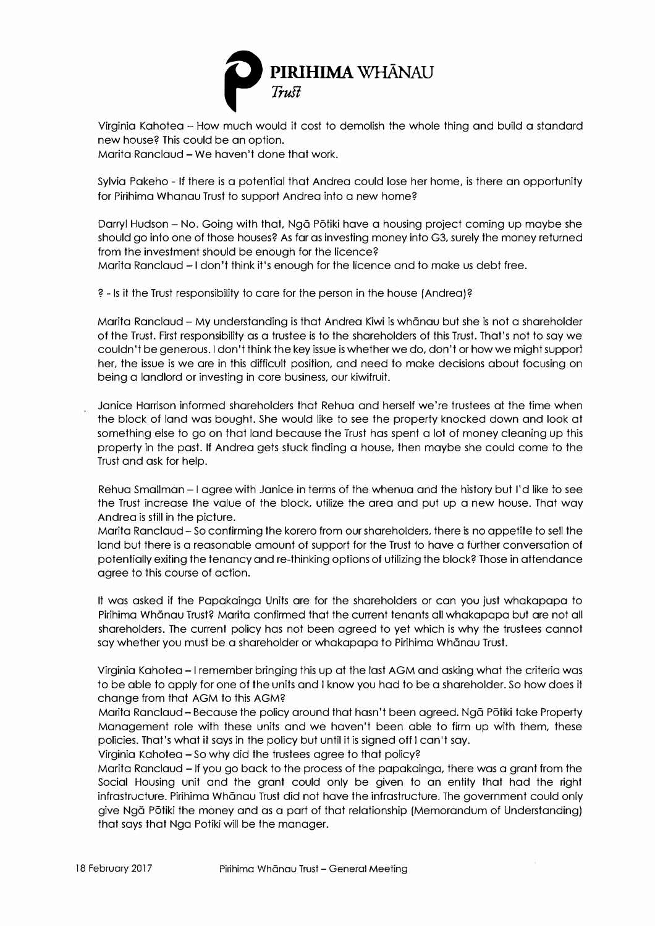

new house? This could be an option.

Marita Ranclaud - We haven't done that work.

Sylvia Pakeho - If there is a potential that Andrea could lose her home, is there an opportunity for Pirihima Whanau Trust to support Andrea into a new home?

Darryl Hudson - No. Going with that, Ngā Pōtiki have a housing project coming up maybe she should go into one of those houses? As far as investing money into G3, surely the money returned from the investment should be enough for the licence? Marita Ranclaud - I don't think it's enough for the licence and to make us debt free.

? - Is it the Trust responsibility to care for the person in the house (Andrea)?

Marita Ranclaud - My understanding is that Andrea Kiwi is whanau but she is not a shareholder of the Trust. First responsibility as a trustee is to the shareholders of this Trust. That's not to say we couldn't be generous. I don't think the key issue is whether we do, don't or how we might support her, the issue is we are in this difficult position, and need to make decisions about focusing on being a landlord or investing in core business, our kiwifruit.

Janice Harrison informed shareholders that Rehua and herself we're trustees at the time when the block of land was bought. She would like to see the property knocked down and look at something else to go on that land because the Trust has spent a lot of money cleaning up this property in the past. If Andrea gets stuck finding a house, then rnaybe she could corne to the Trust and ask for help.

Rehua Smallman - I agree with Janice in terrns of the whenua and the history but I'd like to see the Trust increase the value of the block, utilize the area and put up a new house. That way Andrea is still in the picture.

Marita Ranclaud - So confirming the korero from our shareholders, there is no appetite to sell the land but there is a reasonable amount of support for the Trust to have a further conversation of potentially exiting the tenancy and re-thinking options of utilizing the block? Those in attendance agree to this course of action.

It was asked if the Papakainga Units are for the shareholders or can you just whakapapa to Pirihima Whānau Trust? Marita confirmed that the current tenants all whakapapa but are not all shareholders. The current policy has not been agreed to yet which is why the trustees cannot say whether you must be a shareholder or whakapapa to Pirihima Whanau Trust.

Virginia Kahotea -I remember bringing this up at the last AGM and asking what the criteria was to be able to apply for one of the units and I know you had to be a shareholder. So how does it change from that AGM to this AGM?

Marita Ranclaud - Because the policy around that hasn't been agreed. Nga Potiki take Property Management role with these units and we haven't been able to firm up with them, these policies. That's what ii says in the policy but until it is signed off I can't say.

Virginia Kahotea -So why did the trustees agree to that policy?

Marita Ranclaud -If you go back to the process of the papakainga, there was a grant from the Social Housing unit and the grant could only be given to an entity that had the right infrastructure. Pirihima Whānau Trust did not have the infrastructure. The government could only give Nga Potiki the money and as a part of that relationship (Memorandum of Understanding) that says that Nga Potiki will be the manager.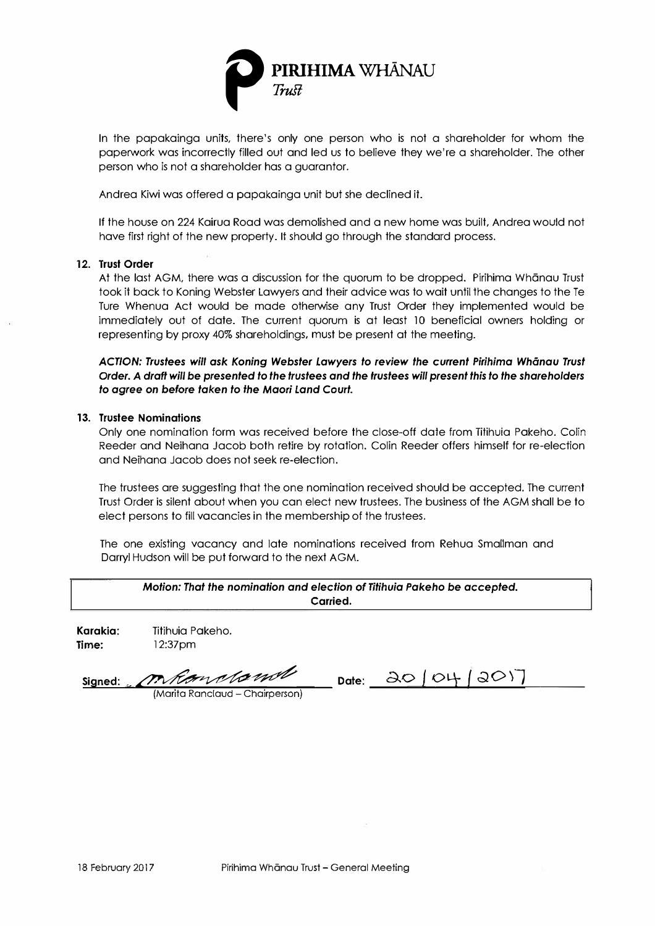

In the papakainga units, there's only one person who is not a shareholder for whom the paperwork was incorrectly filled out and led us to believe they we' re a shareholder. The other person who is not a shareholder has a guarantor.

Andrea Kiwi was offered a papakainga unit but she declined ii.

If the house on 224 Kairua Road was demolished and a new home was built, Andrea would not have first right of the new property. It should go through the standard process.

#### **12. Trust Order**

At the last AGM, there was a discussion for the quorum to be dropped. Pirihima Whānau Trust took ii back to Koning Webster Lawyers and their advice was to wait until the changes to the Te Ture Whenua Act would be made otherwise any Trust Order they implemented would be immediately out of date. The current quorum is at least 10 beneficial owners holding or representing by proxy 40% shareholdings, must be present at the meeting.

*ACTION: Trustees will ask Koning Webster Lawyers to review the current Pirihima Whanau Trust Order. A draft will be presented to the trustees and the trustees will present this to the shareholders to agree on before taken to the Maori Land Court.* 

#### **13. Trustee Nominations**

Only one nomination form was received before the close-off dale from Tilihuia Pakeho. Colin Reeder and Neihana Jacob both retire by rotation. Colin Reeder offers himself for re-election and Neihana Jacob does not seek re-election.

The trustees are suggesting that the one nomination received should be accepted. The current Trust Order is silent about when you can elect new trustees. The business of the AGM shall be lo elect persons to fill vacancies in the membership of the trustees.

The one existing vacancy and late nominations received from Rehua Smallman and Darryl Hudson will be put forward to the next AGM.

| Motion: That the nomination and election of Titihuia Pakeho be accepted.<br>Carried. |                             |                                                                                                                  |  |  |  |
|--------------------------------------------------------------------------------------|-----------------------------|------------------------------------------------------------------------------------------------------------------|--|--|--|
| Karakia:<br>Time:                                                                    | Titihuia Pakeho.<br>12:37pm |                                                                                                                  |  |  |  |
|                                                                                      | Les de la seul d'           | $\begin{array}{c} \n \mathbf{A} & \mathbf{A} & \mathbf{A} & \mathbf{A} & \mathbf{A} & \mathbf{A} \n \end{array}$ |  |  |  |

{Marita Ranclaud - Chairperson)

 $Signed: \n\[\n\[\n\[\n\[\n\]\n\]\n\]\n\[\n\[\n\]\n\[\n\]\n\[\n\]\n\[\n\[\n\]\n\]\n\[\n\[\n\]\n\[\n\]\n\[\n\]\n\[\n\]\n\[\n\]\n\[\n\]\n\[\n\[\n\]\n\[\n\]\n\[\n\]\n\[\n\]\n\[\n\]\n\[\n\]\n\[\n\]\n\[\n\[\n\]\n\[\n\]\n\[\n\]\n\[\n\]\n\[\n\[\n\]\n\[\n\]\n\[\n\]\n\[\n\[\n\]\n\[\n\]\n\[\n\]\n\[\n\]\n\[\$ *{ \_.;J\_O\_\\_l \_\_ \_*